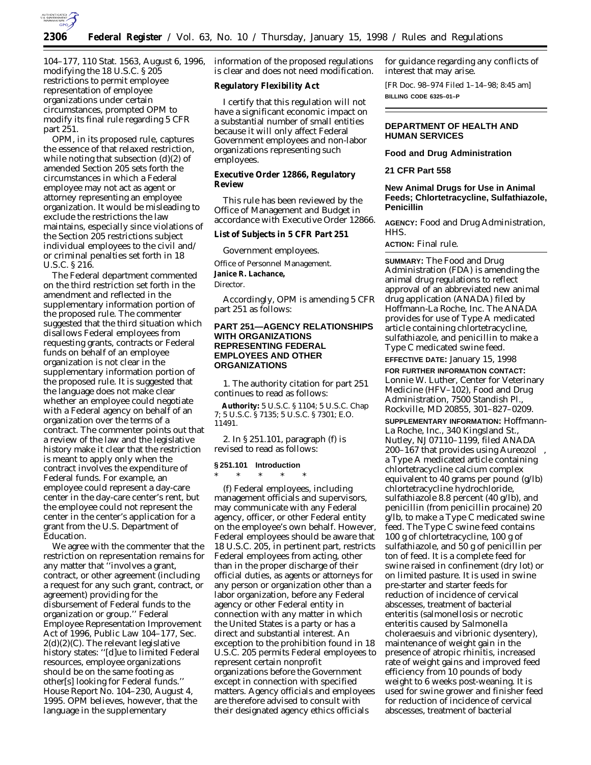

104–177, 110 Stat. 1563, August 6, 1996, modifying the 18 U.S.C. § 205 restrictions to permit employee representation of employee organizations under certain circumstances, prompted OPM to modify its final rule regarding 5 CFR part 251.

OPM, in its proposed rule, captures the essence of that relaxed restriction, while noting that subsection (d)(2) of amended Section 205 sets forth the circumstances in which a Federal employee may not act as agent or attorney representing an employee organization. It would be misleading to exclude the restrictions the law maintains, especially since violations of the Section 205 restrictions subject individual employees to the civil and/ or criminal penalties set forth in 18 U.S.C. § 216.

The Federal department commented on the third restriction set forth in the amendment and reflected in the supplementary information portion of the proposed rule. The commenter suggested that the third situation which disallows Federal employees from requesting grants, contracts or Federal funds on behalf of an employee organization is not clear in the supplementary information portion of the proposed rule. It is suggested that the language does not make clear whether an employee could negotiate with a Federal agency on behalf of an organization over the terms of a contract. The commenter points out that a review of the law and the legislative history make it clear that the restriction is meant to apply only when the contract involves the expenditure of Federal funds. For example, an employee could represent a day-care center in the day-care center's rent, but the employee could not represent the center in the center's application for a grant from the U.S. Department of Education.

We agree with the commenter that the restriction on representation remains for any matter that ''involves a grant, contract, or other agreement (including a request for any such grant, contract, or agreement) providing for the disbursement of Federal funds to the organization or group.'' Federal Employee Representation Improvement Act of 1996, Public Law 104–177, Sec.  $2(d)(2)(C)$ . The relevant legislative history states: ''[d]ue to limited Federal resources, employee organizations should be on the same footing as other[s] looking for Federal funds.'' House Report No. 104–230, August 4, 1995. OPM believes, however, that the language in the supplementary

information of the proposed regulations is clear and does not need modification.

## **Regulatory Flexibility Act**

I certify that this regulation will not have a significant economic impact on a substantial number of small entities because it will only affect Federal Government employees and non-labor organizations representing such employees.

# **Executive Order 12866, Regulatory Review**

This rule has been reviewed by the Office of Management and Budget in accordance with Executive Order 12866.

## **List of Subjects in 5 CFR Part 251**

Government employees.

Office of Personnel Management.

**Janice R. Lachance,**

*Director.*

Accordingly, OPM is amending 5 CFR part 251 as follows:

# **PART 251—AGENCY RELATIONSHIPS WITH ORGANIZATIONS REPRESENTING FEDERAL EMPLOYEES AND OTHER ORGANIZATIONS**

1. The authority citation for part 251 continues to read as follows:

**Authority:** 5 U.S.C. § 1104; 5 U.S.C. Chap 7; 5 U.S.C. § 7135; 5 U.S.C. § 7301; E.O. 11491.

2. In § 251.101, paragraph (f) is revised to read as follows:

## **§ 251.101 Introduction** \* \* \* \* \*

(f) Federal employees, including management officials and supervisors, may communicate with any Federal agency, officer, or other Federal entity on the employee's own behalf. However, Federal employees should be aware that 18 U.S.C. 205, in pertinent part, restricts Federal employees from acting, other than in the proper discharge of their official duties, as agents or attorneys for any person or organization other than a labor organization, before any Federal agency or other Federal entity in connection with any matter in which the United States is a party or has a direct and substantial interest. An exception to the prohibition found in 18 U.S.C. 205 permits Federal employees to represent certain nonprofit organizations before the Government except in connection with specified matters. Agency officials and employees are therefore advised to consult with their designated agency ethics officials

for guidance regarding any conflicts of interest that may arise.

[FR Doc. 98–974 Filed 1–14–98; 8:45 am] **BILLING CODE 6325–01–P**

# **DEPARTMENT OF HEALTH AND HUMAN SERVICES**

### **Food and Drug Administration**

### **21 CFR Part 558**

# **New Animal Drugs for Use in Animal Feeds; Chlortetracycline, Sulfathiazole, Penicillin**

**AGENCY:** Food and Drug Administration, HHS.

**ACTION:** Final rule.

**SUMMARY:** The Food and Drug Administration (FDA) is amending the animal drug regulations to reflect approval of an abbreviated new animal drug application (ANADA) filed by Hoffmann-La Roche, Inc. The ANADA provides for use of Type A medicated article containing chlortetracycline, sulfathiazole, and penicillin to make a Type C medicated swine feed.

**EFFECTIVE DATE:** January 15, 1998

**FOR FURTHER INFORMATION CONTACT:** Lonnie W. Luther, Center for Veterinary Medicine (HFV–102), Food and Drug Administration, 7500 Standish Pl., Rockville, MD 20855, 301–827–0209.

**SUPPLEMENTARY INFORMATION:** Hoffmann-La Roche, Inc., 340 Kingsland St., Nutley, NJ 07110–1199, filed ANADA 200-167 that provides using Aureozol®, a Type A medicated article containing chlortetracycline calcium complex equivalent to 40 grams per pound (g/lb) chlortetracycline hydrochloride, sulfathiazole 8.8 percent (40 g/lb), and penicillin (from penicillin procaine) 20 g/lb, to make a Type C medicated swine feed. The Type C swine feed contains 100 g of chlortetracycline, 100 g of sulfathiazole, and 50 g of penicillin per ton of feed. It is a complete feed for swine raised in confinement (dry lot) or on limited pasture. It is used in swine pre-starter and starter feeds for reduction of incidence of cervical abscesses, treatment of bacterial enteritis (salmonellosis or necrotic enteritis caused by *Salmonella choleraesuis* and vibrionic dysentery), maintenance of weight gain in the presence of atropic rhinitis, increased rate of weight gains and improved feed efficiency from 10 pounds of body weight to 6 weeks post-weaning. It is used for swine grower and finisher feed for reduction of incidence of cervical abscesses, treatment of bacterial